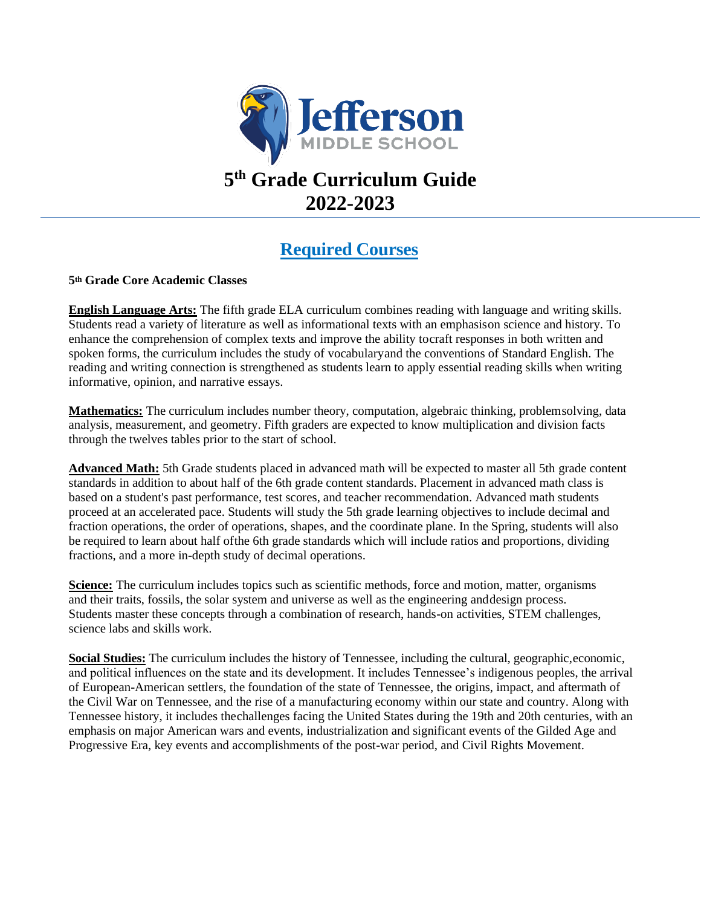

# **5 th Grade Curriculum Guide 2022-2023**

### **Required Courses**

#### **5th Grade Core Academic Classes**

**English Language Arts:** The fifth grade ELA curriculum combines reading with language and writing skills. Students read a variety of literature as well as informational texts with an emphasison science and history. To enhance the comprehension of complex texts and improve the ability tocraft responses in both written and spoken forms, the curriculum includes the study of vocabularyand the conventions of Standard English. The reading and writing connection is strengthened as students learn to apply essential reading skills when writing informative, opinion, and narrative essays.

**Mathematics:** The curriculum includes number theory, computation, algebraic thinking, problemsolving, data analysis, measurement, and geometry. Fifth graders are expected to know multiplication and division facts through the twelves tables prior to the start of school.

**Advanced Math:** 5th Grade students placed in advanced math will be expected to master all 5th grade content standards in addition to about half of the 6th grade content standards. Placement in advanced math class is based on a student's past performance, test scores, and teacher recommendation. Advanced math students proceed at an accelerated pace. Students will study the 5th grade learning objectives to include decimal and fraction operations, the order of operations, shapes, and the coordinate plane. In the Spring, students will also be required to learn about half ofthe 6th grade standards which will include ratios and proportions, dividing fractions, and a more in-depth study of decimal operations.

**Science:** The curriculum includes topics such as scientific methods, force and motion, matter, organisms and their traits, fossils, the solar system and universe as well as the engineering anddesign process. Students master these concepts through a combination of research, hands-on activities, STEM challenges, science labs and skills work.

**Social Studies:** The curriculum includes the history of Tennessee, including the cultural, geographic,economic, and political influences on the state and its development. It includes Tennessee's indigenous peoples, the arrival of European-American settlers, the foundation of the state of Tennessee, the origins, impact, and aftermath of the Civil War on Tennessee, and the rise of a manufacturing economy within our state and country. Along with Tennessee history, it includes thechallenges facing the United States during the 19th and 20th centuries, with an emphasis on major American wars and events, industrialization and significant events of the Gilded Age and Progressive Era, key events and accomplishments of the post-war period, and Civil Rights Movement.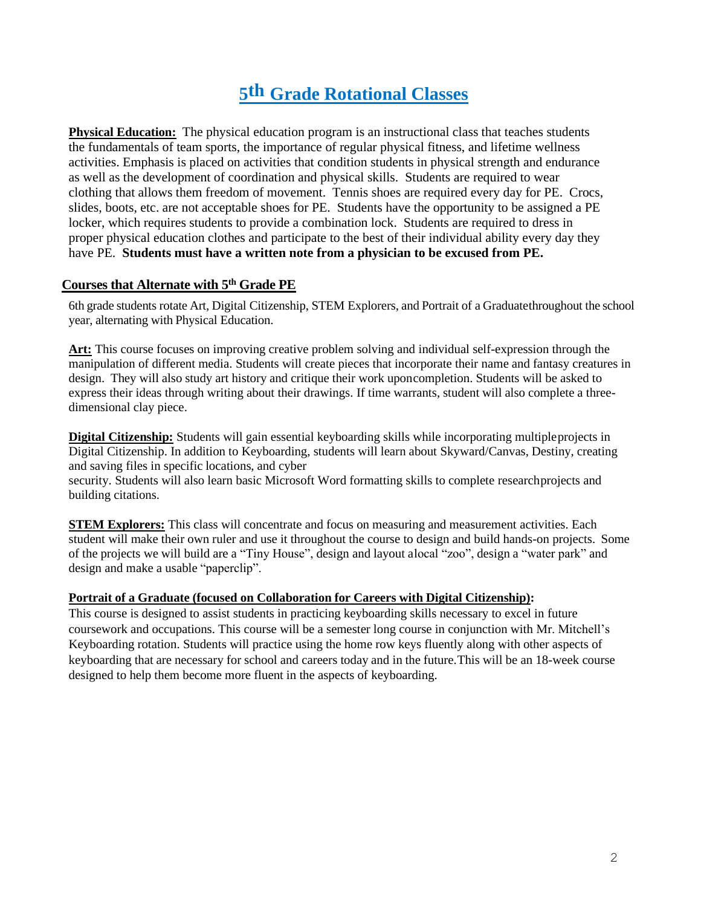## **5th Grade Rotational Classes**

**Physical Education:** The physical education program is an instructional class that teaches students the fundamentals of team sports, the importance of regular physical fitness, and lifetime wellness activities. Emphasis is placed on activities that condition students in physical strength and endurance as well as the development of coordination and physical skills. Students are required to wear clothing that allows them freedom of movement. Tennis shoes are required every day for PE. Crocs, slides, boots, etc. are not acceptable shoes for PE. Students have the opportunity to be assigned a PE locker, which requires students to provide a combination lock. Students are required to dress in proper physical education clothes and participate to the best of their individual ability every day they have PE. **Students must have a written note from a physician to be excused from PE.**

#### **Courses that Alternate with 5 th Grade PE**

6th grade students rotate Art, Digital Citizenship, STEM Explorers, and Portrait of a Graduatethroughout the school year, alternating with Physical Education.

**Art:** This course focuses on improving creative problem solving and individual self-expression through the manipulation of different media. Students will create pieces that incorporate their name and fantasy creatures in design. They will also study art history and critique their work uponcompletion. Students will be asked to express their ideas through writing about their drawings. If time warrants, student will also complete a threedimensional clay piece.

**Digital Citizenship:** Students will gain essential keyboarding skills while incorporating multipleprojects in Digital Citizenship. In addition to Keyboarding, students will learn about Skyward/Canvas, Destiny, creating and saving files in specific locations, and cyber

security. Students will also learn basic Microsoft Word formatting skills to complete researchprojects and building citations.

**STEM Explorers:** This class will concentrate and focus on measuring and measurement activities. Each student will make their own ruler and use it throughout the course to design and build hands-on projects. Some of the projects we will build are a "Tiny House", design and layout alocal "zoo", design a "water park" and design and make a usable "paperclip".

#### **Portrait of a Graduate (focused on Collaboration for Careers with Digital Citizenship):**

This course is designed to assist students in practicing keyboarding skills necessary to excel in future coursework and occupations. This course will be a semester long course in conjunction with Mr. Mitchell's Keyboarding rotation. Students will practice using the home row keys fluently along with other aspects of keyboarding that are necessary for school and careers today and in the future.This will be an 18-week course designed to help them become more fluent in the aspects of keyboarding.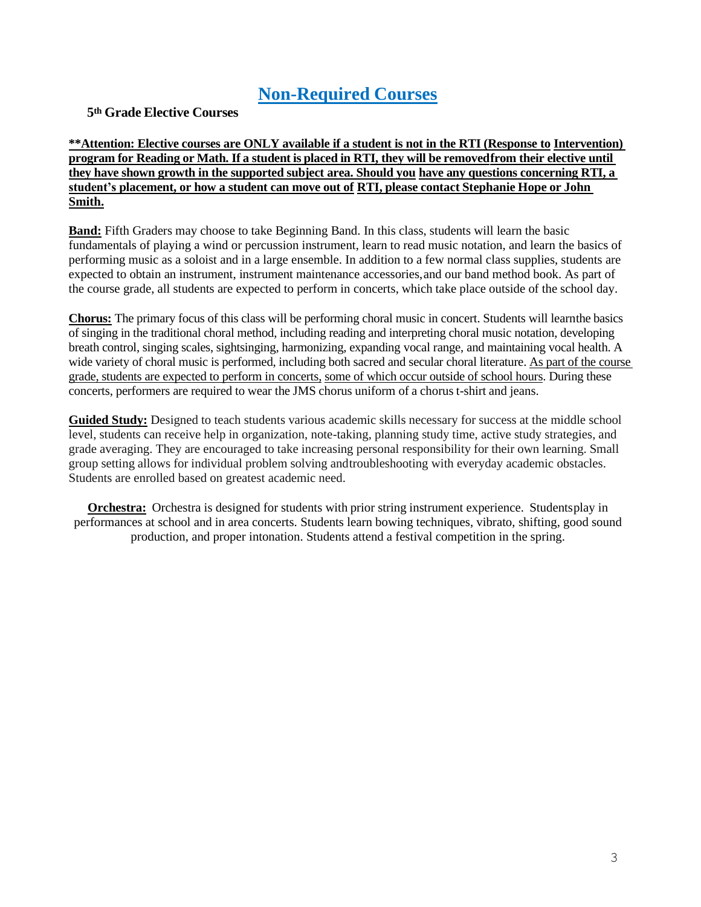### **Non-Required Courses**

**5th Grade Elective Courses**

**\*\*Attention: Elective courses are ONLY available if a student is not in the RTI (Response to Intervention) program for Reading or Math. If a student is placed in RTI, they will be removedfrom their elective until they have shown growth in the supported subject area. Should you have any questions concerning RTI, a student's placement, or how a student can move out of RTI, please contact Stephanie Hope or John Smith.**

**Band:** Fifth Graders may choose to take Beginning Band. In this class, students will learn the basic fundamentals of playing a wind or percussion instrument, learn to read music notation, and learn the basics of performing music as a soloist and in a large ensemble. In addition to a few normal class supplies, students are expected to obtain an instrument, instrument maintenance accessories,and our band method book. As part of the course grade, all students are expected to perform in concerts, which take place outside of the school day.

**Chorus:** The primary focus of this class will be performing choral music in concert. Students will learnthe basics of singing in the traditional choral method, including reading and interpreting choral music notation, developing breath control, singing scales, sightsinging, harmonizing, expanding vocal range, and maintaining vocal health. A wide variety of choral music is performed, including both sacred and secular choral literature. As part of the course grade, students are expected to perform in concerts, some of which occur outside of school hours. During these concerts, performers are required to wear the JMS chorus uniform of a chorus t-shirt and jeans.

**Guided Study:** Designed to teach students various academic skills necessary for success at the middle school level, students can receive help in organization, note-taking, planning study time, active study strategies, and grade averaging. They are encouraged to take increasing personal responsibility for their own learning. Small group setting allows for individual problem solving andtroubleshooting with everyday academic obstacles. Students are enrolled based on greatest academic need.

**Orchestra:** Orchestra is designed for students with prior string instrument experience. Studentsplay in performances at school and in area concerts. Students learn bowing techniques, vibrato, shifting, good sound production, and proper intonation. Students attend a festival competition in the spring.